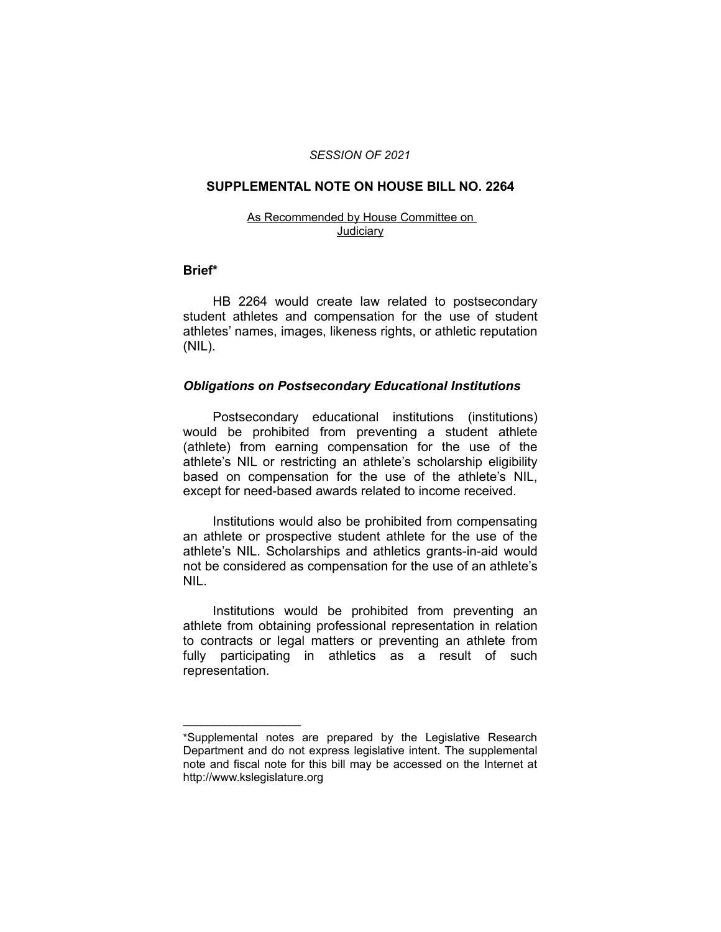### *SESSION OF 2021*

### **SUPPLEMENTAL NOTE ON HOUSE BILL NO. 2264**

#### As Recommended by House Committee on **Judiciary**

### **Brief\***

HB 2264 would create law related to postsecondary student athletes and compensation for the use of student athletes' names, images, likeness rights, or athletic reputation (NIL).

### *Obligations on Postsecondary Educational Institutions*

Postsecondary educational institutions (institutions) would be prohibited from preventing a student athlete (athlete) from earning compensation for the use of the athlete's NIL or restricting an athlete's scholarship eligibility based on compensation for the use of the athlete's NIL, except for need-based awards related to income received.

Institutions would also be prohibited from compensating an athlete or prospective student athlete for the use of the athlete's NIL. Scholarships and athletics grants-in-aid would not be considered as compensation for the use of an athlete's NIL.

Institutions would be prohibited from preventing an athlete from obtaining professional representation in relation to contracts or legal matters or preventing an athlete from fully participating in athletics as a result of such representation.

 $\overline{\phantom{a}}$  , where  $\overline{\phantom{a}}$  , where  $\overline{\phantom{a}}$ 

<sup>\*</sup>Supplemental notes are prepared by the Legislative Research Department and do not express legislative intent. The supplemental note and fiscal note for this bill may be accessed on the Internet at http://www.kslegislature.org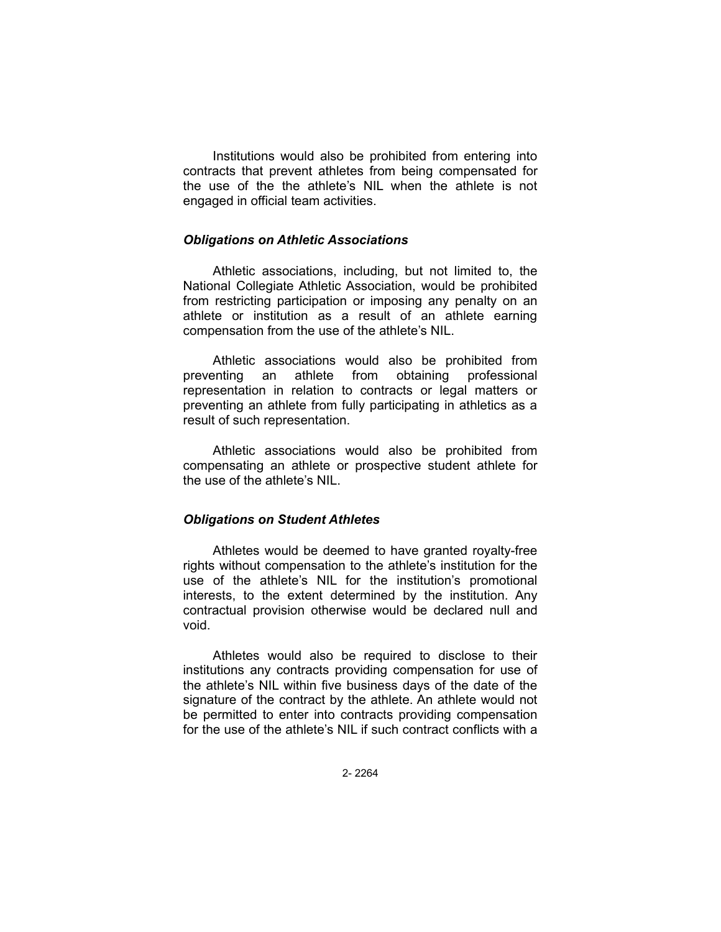Institutions would also be prohibited from entering into contracts that prevent athletes from being compensated for the use of the the athlete's NIL when the athlete is not engaged in official team activities.

# *Obligations on Athletic Associations*

Athletic associations, including, but not limited to, the National Collegiate Athletic Association, would be prohibited from restricting participation or imposing any penalty on an athlete or institution as a result of an athlete earning compensation from the use of the athlete's NIL.

Athletic associations would also be prohibited from preventing an athlete from obtaining professional representation in relation to contracts or legal matters or preventing an athlete from fully participating in athletics as a result of such representation.

Athletic associations would also be prohibited from compensating an athlete or prospective student athlete for the use of the athlete's NIL.

### *Obligations on Student Athletes*

Athletes would be deemed to have granted royalty-free rights without compensation to the athlete's institution for the use of the athlete's NIL for the institution's promotional interests, to the extent determined by the institution. Any contractual provision otherwise would be declared null and void.

Athletes would also be required to disclose to their institutions any contracts providing compensation for use of the athlete's NIL within five business days of the date of the signature of the contract by the athlete. An athlete would not be permitted to enter into contracts providing compensation for the use of the athlete's NIL if such contract conflicts with a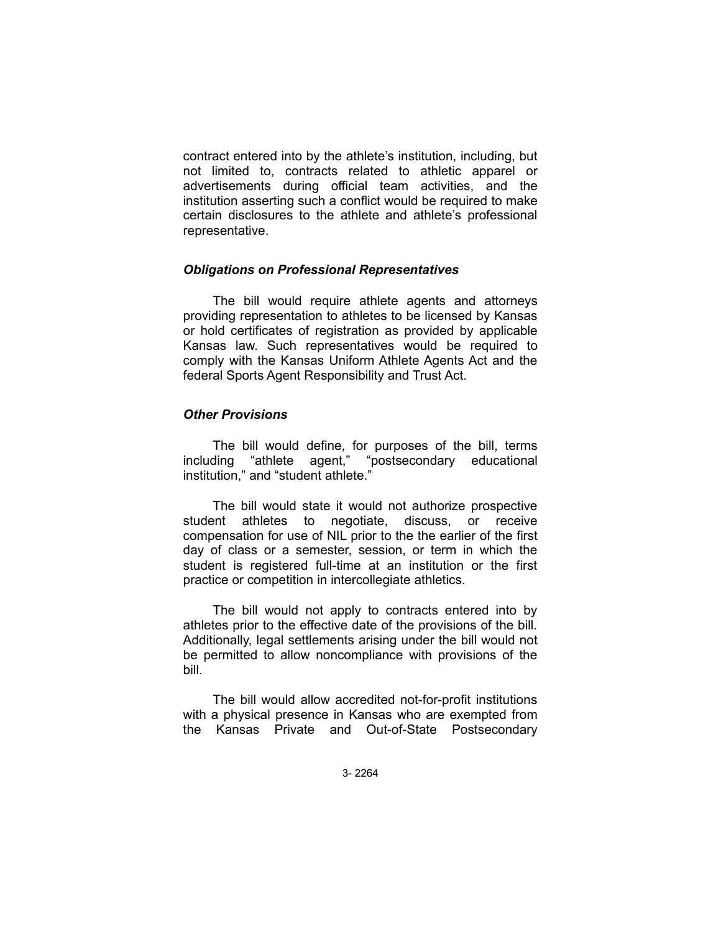contract entered into by the athlete's institution, including, but not limited to, contracts related to athletic apparel or advertisements during official team activities, and the institution asserting such a conflict would be required to make certain disclosures to the athlete and athlete's professional representative.

# *Obligations on Professional Representatives*

The bill would require athlete agents and attorneys providing representation to athletes to be licensed by Kansas or hold certificates of registration as provided by applicable Kansas law. Such representatives would be required to comply with the Kansas Uniform Athlete Agents Act and the federal Sports Agent Responsibility and Trust Act.

# *Other Provisions*

The bill would define, for purposes of the bill, terms including "athlete agent," "postsecondary educational institution," and "student athlete."

The bill would state it would not authorize prospective student athletes to negotiate, discuss, or receive compensation for use of NIL prior to the the earlier of the first day of class or a semester, session, or term in which the student is registered full-time at an institution or the first practice or competition in intercollegiate athletics.

The bill would not apply to contracts entered into by athletes prior to the effective date of the provisions of the bill. Additionally, legal settlements arising under the bill would not be permitted to allow noncompliance with provisions of the bill.

The bill would allow accredited not-for-profit institutions with a physical presence in Kansas who are exempted from the Kansas Private and Out-of-State Postsecondary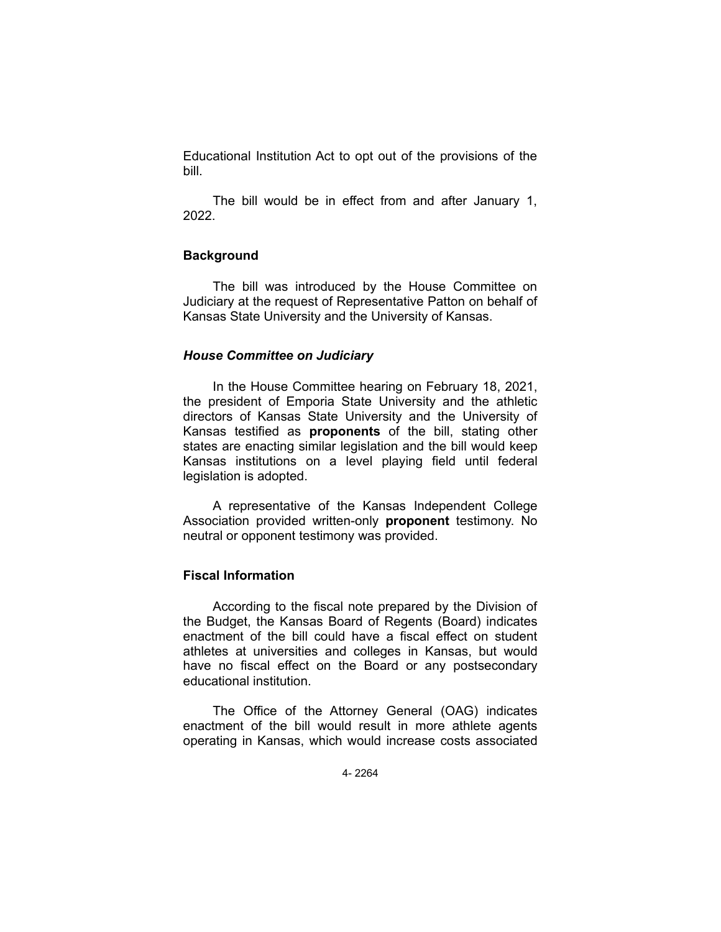Educational Institution Act to opt out of the provisions of the bill.

The bill would be in effect from and after January 1, 2022.

### **Background**

The bill was introduced by the House Committee on Judiciary at the request of Representative Patton on behalf of Kansas State University and the University of Kansas.

# *House Committee on Judiciary*

In the House Committee hearing on February 18, 2021, the president of Emporia State University and the athletic directors of Kansas State University and the University of Kansas testified as **proponents** of the bill, stating other states are enacting similar legislation and the bill would keep Kansas institutions on a level playing field until federal legislation is adopted.

A representative of the Kansas Independent College Association provided written-only **proponent** testimony. No neutral or opponent testimony was provided.

# **Fiscal Information**

According to the fiscal note prepared by the Division of the Budget, the Kansas Board of Regents (Board) indicates enactment of the bill could have a fiscal effect on student athletes at universities and colleges in Kansas, but would have no fiscal effect on the Board or any postsecondary educational institution.

The Office of the Attorney General (OAG) indicates enactment of the bill would result in more athlete agents operating in Kansas, which would increase costs associated